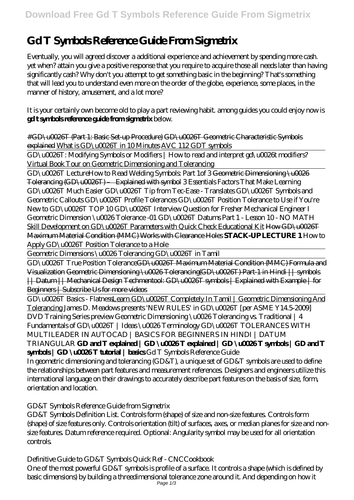# **Gd T Symbols Reference Guide From Sigmetrix**

Eventually, you will agreed discover a additional experience and achievement by spending more cash. yet when? attain you give a positive response that you require to acquire those all needs later than having significantly cash? Why don't you attempt to get something basic in the beginning? That's something that will lead you to understand even more on the order of the globe, experience, some places, in the manner of history, amusement, and a lot more?

It is your certainly own become old to play a part reviewing habit. among guides you could enjoy now is **gd t symbols reference guide from sigmetrix** below.

#GD\u0026T (Part 1: Basic Set-up Procedure) GD\u0026T Geometric Characteristic Symbols explained What is GD\u0026T in 10 Minutes AVC 112 GDT symbols

GD\u0026T: Modifying Symbols or Modifiers | How to read and interpret gd\u0026t modifiers? Virtual Book Tour on Geometric Dimensioning and Tolerancing

GD\u0026T Lecture*How to Read Welding Symbols: Part 1of 3* Geometric Dimensioning \u0026 Tolerancing (GD\u0026T) – Explained with symbol *3 Essentials Factors That Make Learning GD\u0026T Much Easier GD\u0026T Tip from Tec-Ease - Translates GD\u0026T Symbols and Geometric Callouts* GD\u0026T Profile Tolerances *GD\u0026T Position Tolerance to Use if You're New to GD\u0026T* TOP 10 GD\u0026T Interview Question for Fresher Mechanical Engineer I Geometric Dimension \u0026 Tolerance -01 GD\u0026T Datums Part 1 - Lesson 10 - NO MATH Skill Development on GD\u0026T Parameters with Quick Check Educational Kit How GD\u0026T Maximum Material Condition (MMC) Works with Clearance Holes **STACK-UP LECTURE 1** *How to Apply GD\u0026T Position Tolerance to a Hole*

Geometric Dimensions \u0026 Tolerancing GD\u0026T in Tamil

GD\u0026T True Position ToleranceGD\u0026T Maximum Material Condition (MMC) Formula and Visualization Geometric Dimensioning \u0026 Tolerancing(GD\u0026T)-Part-1 in Hindi || symbols || Datum || Mechanical Design Techmentool: GD\u0026T symbols | Explained with Example | for Beginners | Subscribe Us for more videos

GD\u0026T Basics - FlatnessLearn GD\u0026T Completely In Tamil | Geometric Dimensioning And Tolerancing *James D. Meadows presents 'NEW RULES' in GD\u0026T [per ASME Y14.5-2009] DVD Training Series preview Geometric Dimensioning \u0026 Tolerancing vs. Traditional | 4 Fundamentals of GD\u0026T | Ideas \u0026 Terminology* GD\u0026T TOLERANCES WITH MULTILEADER IN AUTOCAD | BASICS FOR BEGINNERS IN HINDI | DATUM TRIANGULAR **GD and T explained | GD \u0026 T explained | GD \u0026 T symbols | GD and T** synbols | GD \u0026T tutorial | basics Gd T Symbols Reference Guide

In geometric dimensioning and tolerancing (GD&T), a unique set of GD&T symbols are used to define the relationships between part features and measurement references. Designers and engineers utilize this international language on their drawings to accurately describe part features on the basis of size, form, orientation and location.

GD&T Symbols Reference Guide from Sigmetrix

GD&T Symbols Definition List. Controls form (shape) of size and non-size features. Controls form (shape) of size features only. Controls orientation (tilt) of surfaces, axes, or median planes for size and nonsize features. Datum reference required. Optional: Angularity symbol may be used for all orientation controls.

Definitive Guide to GD&T Symbols Quick Ref - CNCCookbook

One of the most powerful GD&T symbols is profile of a surface. It controls a shape (which is defined by basic dimensions) by building a threedimensional tolerance zone around it. And depending on how it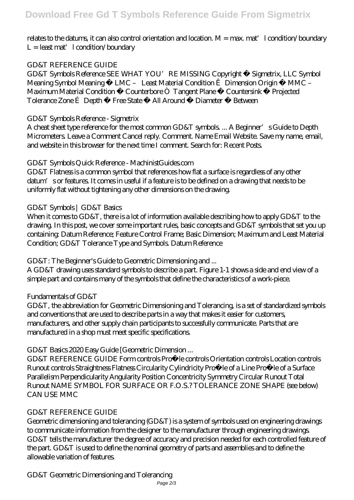## relates to the datums, it can also control orientation and location. M = max. mat'l condition/boundary  $L =$  least mat'  $l$  condition/boundary

## GD&T REFERENCE GUIDE

GD&T Symbols Reference SEE WHAT YOU'RE MISSING Copyright © Sigmetrix, LLC Symbol Meaning Symbol Meaning Ë LMC – Least Material Condition Ê Dimension Origin Ì MMC – Maximum Material Condition Ö Counterbore Ò Tangent Plane Õ Countersink Î Projected Tolerance Zone É Depth Å Free State ¤ All Around Ø Diameter ¯ Between

## GD&T Symbols Reference - Sigmetrix

A cheat sheet type reference for the most common GD&T symbols... A Beginner's Guide to Depth Micrometers. Leave a Comment Cancel reply. Comment. Name Email Website. Save my name, email, and website in this browser for the next time I comment. Search for: Recent Posts.

#### GD&T Symbols Quick Reference - MachinistGuides.com

GD&T Flatness is a common symbol that references how flat a surface is regardless of any other datum's or features. It comes in useful if a feature is to be defined on a drawing that needs to be uniformly flat without tightening any other dimensions on the drawing.

#### GD&T Symbols | GD&T Basics

When it comes to GD&T, there is a lot of information available describing how to apply GD&T to the drawing. In this post, we cover some important rules, basic concepts and GD&T symbols that set you up containing: Datum Reference; Feature Control Frame; Basic Dimension; Maximum and Least Material Condition; GD&T Tolerance Type and Symbols. Datum Reference

GD&T: The Beginner's Guide to Geometric Dimensioning and ...

A GD&T drawing uses standard symbols to describe a part. Figure 1-1 shows a side and end view of a simple part and contains many of the symbols that define the characteristics of a work-piece.

## Fundamentals of GD&T

GD&T, the abbreviation for Geometric Dimensioning and Tolerancing, is a set of standardized symbols and conventions that are used to describe parts in a way that makes it easier for customers, manufacturers, and other supply chain participants to successfully communicate. Parts that are manufactured in a shop must meet specific specifications.

## GD&T Basics 2020 Easy Guide [Geometric Dimension ...

GD&T REFERENCE GUIDE Form controls Pro˜le controls Orientation controls Location controls Runout controls Straightness Flatness Circularity Cylindricity Pro~le of a Line Pro~le of a Surface Parallelism Perpendicularity Angularity Position Concentricity Symmetry Circular Runout Total Runout NAME SYMBOL FOR SURFACE OR F.O.S.? TOLERANCE ZONE SHAPE (see below) CAN USE MMC

## GD&T REFERENCE GUIDE

Geometric dimensioning and tolerancing (GD&T) is a system of symbols used on engineering drawings to communicate information from the designer to the manufacturer through engineering drawings. GD&T tells the manufacturer the degree of accuracy and precision needed for each controlled feature of the part. GD&T is used to define the nominal geometry of parts and assemblies and to define the allowable variation of features.

GD&T Geometric Dimensioning and Tolerancing